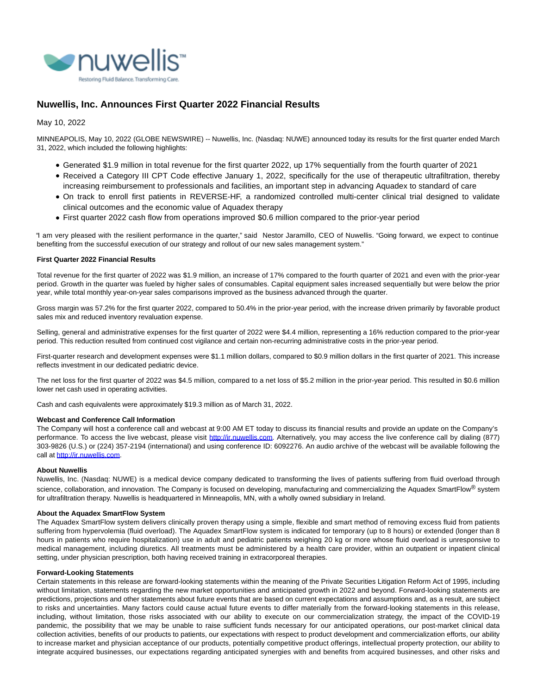

# **Nuwellis, Inc. Announces First Quarter 2022 Financial Results**

May 10, 2022

MINNEAPOLIS, May 10, 2022 (GLOBE NEWSWIRE) -- Nuwellis, Inc. (Nasdaq: NUWE) announced today its results for the first quarter ended March 31, 2022, which included the following highlights:

- Generated \$1.9 million in total revenue for the first quarter 2022, up 17% sequentially from the fourth quarter of 2021
- Received a Category III CPT Code effective January 1, 2022, specifically for the use of therapeutic ultrafiltration, thereby increasing reimbursement to professionals and facilities, an important step in advancing Aquadex to standard of care
- On track to enroll first patients in REVERSE-HF, a randomized controlled multi-center clinical trial designed to validate clinical outcomes and the economic value of Aquadex therapy
- First quarter 2022 cash flow from operations improved \$0.6 million compared to the prior-year period

"I am very pleased with the resilient performance in the quarter," said Nestor Jaramillo, CEO of Nuwellis. "Going forward, we expect to continue benefiting from the successful execution of our strategy and rollout of our new sales management system."

### **First Quarter 2022 Financial Results**

Total revenue for the first quarter of 2022 was \$1.9 million, an increase of 17% compared to the fourth quarter of 2021 and even with the prior-year period. Growth in the quarter was fueled by higher sales of consumables. Capital equipment sales increased sequentially but were below the prior year, while total monthly year-on-year sales comparisons improved as the business advanced through the quarter.

Gross margin was 57.2% for the first quarter 2022, compared to 50.4% in the prior-year period, with the increase driven primarily by favorable product sales mix and reduced inventory revaluation expense.

Selling, general and administrative expenses for the first quarter of 2022 were \$4.4 million, representing a 16% reduction compared to the prior-year period. This reduction resulted from continued cost vigilance and certain non-recurring administrative costs in the prior-year period.

First-quarter research and development expenses were \$1.1 million dollars, compared to \$0.9 million dollars in the first quarter of 2021. This increase reflects investment in our dedicated pediatric device.

The net loss for the first quarter of 2022 was \$4.5 million, compared to a net loss of \$5.2 million in the prior-year period. This resulted in \$0.6 million lower net cash used in operating activities.

Cash and cash equivalents were approximately \$19.3 million as of March 31, 2022.

#### **Webcast and Conference Call Information**

The Company will host a conference call and webcast at 9:00 AM ET today to discuss its financial results and provide an update on the Company's performance. To access the live webcast, please visit [http://ir.nuwellis.com.](https://www.globenewswire.com/Tracker?data=wflu6cwhppYxa43xBJ771bCAZxR71xT2Yh9lIZ0_5rYGTB4fzAcHElZXAtSfJAuKrs-l4hz-uXvFlgVBihwJ4jsoNqh8dchKqzmYorGKmzY=) Alternatively, you may access the live conference call by dialing (877) 303-9826 (U.S.) or (224) 357-2194 (international) and using conference ID: 6092276. An audio archive of the webcast will be available following the call at [http://ir.nuwellis.com.](https://www.globenewswire.com/Tracker?data=wflu6cwhppYxa43xBJ771bCAZxR71xT2Yh9lIZ0_5raVblL3Jfx1K2YQch7ohFvpH7xXQUUKjG79pfQsiZ2lsXRGXRyeLYFJiWujwTn4oDA=)

#### **About Nuwellis**

Nuwellis, Inc. (Nasdaq: NUWE) is a medical device company dedicated to transforming the lives of patients suffering from fluid overload through science, collaboration, and innovation. The Company is focused on developing, manufacturing and commercializing the Aquadex SmartFlow<sup>®</sup> system for ultrafiltration therapy. Nuwellis is headquartered in Minneapolis, MN, with a wholly owned subsidiary in Ireland.

#### **About the Aquadex SmartFlow System**

The Aquadex SmartFlow system delivers clinically proven therapy using a simple, flexible and smart method of removing excess fluid from patients suffering from hypervolemia (fluid overload). The Aquadex SmartFlow system is indicated for temporary (up to 8 hours) or extended (longer than 8 hours in patients who require hospitalization) use in adult and pediatric patients weighing 20 kg or more whose fluid overload is unresponsive to medical management, including diuretics. All treatments must be administered by a health care provider, within an outpatient or inpatient clinical setting, under physician prescription, both having received training in extracorporeal therapies.

### **Forward-Looking Statements**

Certain statements in this release are forward-looking statements within the meaning of the Private Securities Litigation Reform Act of 1995, including without limitation, statements regarding the new market opportunities and anticipated growth in 2022 and beyond. Forward-looking statements are predictions, projections and other statements about future events that are based on current expectations and assumptions and, as a result, are subject to risks and uncertainties. Many factors could cause actual future events to differ materially from the forward-looking statements in this release, including, without limitation, those risks associated with our ability to execute on our commercialization strategy, the impact of the COVID-19 pandemic, the possibility that we may be unable to raise sufficient funds necessary for our anticipated operations, our post-market clinical data collection activities, benefits of our products to patients, our expectations with respect to product development and commercialization efforts, our ability to increase market and physician acceptance of our products, potentially competitive product offerings, intellectual property protection, our ability to integrate acquired businesses, our expectations regarding anticipated synergies with and benefits from acquired businesses, and other risks and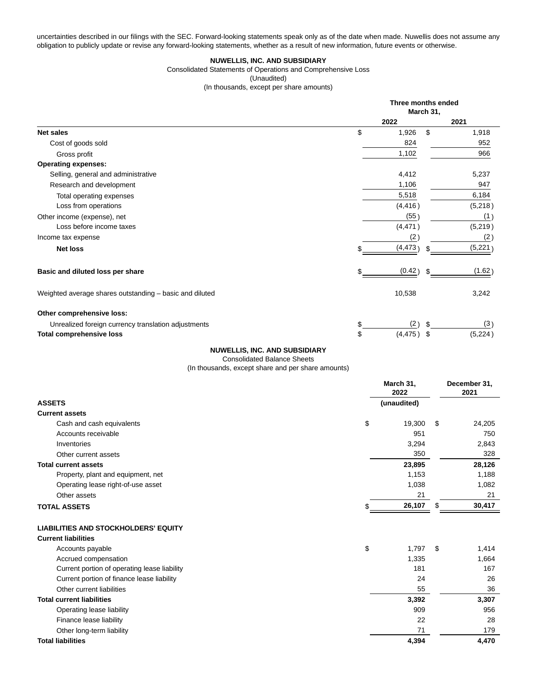uncertainties described in our filings with the SEC. Forward-looking statements speak only as of the date when made. Nuwellis does not assume any obligation to publicly update or revise any forward-looking statements, whether as a result of new information, future events or otherwise.

### **NUWELLIS, INC. AND SUBSIDIARY**

Consolidated Statements of Operations and Comprehensive Loss

(Unaudited)

(In thousands, except per share amounts)

|                                                         | Three months ended<br>March 31, |         |  |
|---------------------------------------------------------|---------------------------------|---------|--|
|                                                         | 2022                            | 2021    |  |
| <b>Net sales</b>                                        | \$<br>\$<br>1,926               | 1,918   |  |
| Cost of goods sold                                      | 824                             | 952     |  |
| Gross profit                                            | 1,102                           | 966     |  |
| <b>Operating expenses:</b>                              |                                 |         |  |
| Selling, general and administrative                     | 4,412                           | 5,237   |  |
| Research and development                                | 1,106                           | 947     |  |
| Total operating expenses                                | 5,518                           | 6,184   |  |
| Loss from operations                                    | (4, 416)                        | (5,218) |  |
| Other income (expense), net                             | (55)                            | (1)     |  |
| Loss before income taxes                                | (4, 471)                        | (5,219) |  |
| Income tax expense                                      | (2)                             | (2)     |  |
| <b>Net loss</b>                                         | (4,473)                         | (5,221) |  |
| Basic and diluted loss per share                        | \$<br>(0.42)                    | (1.62)  |  |
| Weighted average shares outstanding – basic and diluted | 10,538                          | 3,242   |  |
| Other comprehensive loss:                               |                                 |         |  |
| Unrealized foreign currency translation adjustments     | \$<br>(2)                       | (3)     |  |
| <b>Total comprehensive loss</b>                         | \$<br>(4, 475)<br>\$            | (5,224) |  |

## **NUWELLIS, INC. AND SUBSIDIARY**

Consolidated Balance Sheets

(In thousands, except share and per share amounts)

|                                              | March 31,<br>2022 | December 31,<br>2021 |  |
|----------------------------------------------|-------------------|----------------------|--|
| <b>ASSETS</b>                                | (unaudited)       |                      |  |
| <b>Current assets</b>                        |                   |                      |  |
| \$<br>Cash and cash equivalents              | 19,300            | 24,205<br>\$         |  |
| Accounts receivable                          | 951               | 750                  |  |
| Inventories                                  | 3,294             | 2,843                |  |
| Other current assets                         | 350               | 328                  |  |
| <b>Total current assets</b>                  | 23,895            | 28,126               |  |
| Property, plant and equipment, net           | 1,153             | 1,188                |  |
| Operating lease right-of-use asset           | 1,038             | 1,082                |  |
| Other assets                                 | 21                | 21                   |  |
| <b>TOTAL ASSETS</b>                          | 26,107            | 30,417<br>S          |  |
| <b>LIABILITIES AND STOCKHOLDERS' EQUITY</b>  |                   |                      |  |
| <b>Current liabilities</b>                   |                   |                      |  |
| \$<br>Accounts payable                       | 1,797             | 1,414<br>\$          |  |
| Accrued compensation                         | 1,335             | 1,664                |  |
| Current portion of operating lease liability | 181               | 167                  |  |
| Current portion of finance lease liability   | 24                | 26                   |  |
| Other current liabilities                    | 55                | 36                   |  |
| <b>Total current liabilities</b>             | 3,392             | 3,307                |  |
| Operating lease liability                    | 909               | 956                  |  |
| Finance lease liability                      | 22                | 28                   |  |
| Other long-term liability                    | 71                | 179                  |  |

**Total liabilities 4,394 4,470**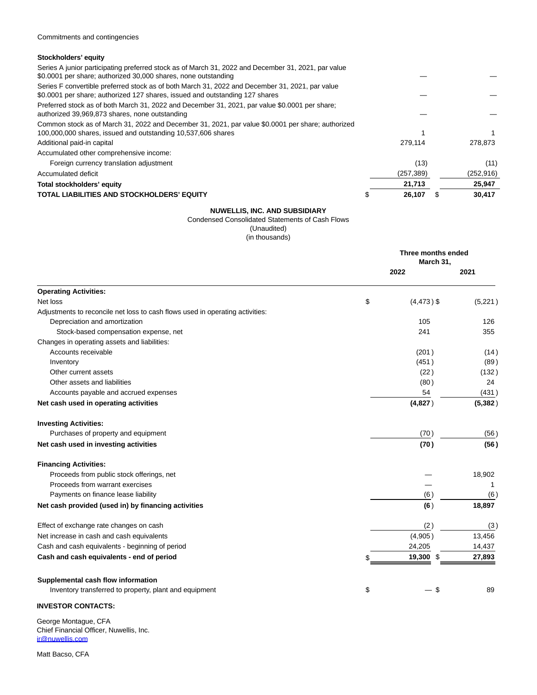## **Stockholders' equity**

| Series A junior participating preferred stock as of March 31, 2022 and December 31, 2021, par value<br>\$0.0001 per share; authorized 30,000 shares, none outstanding |            |            |
|-----------------------------------------------------------------------------------------------------------------------------------------------------------------------|------------|------------|
| Series F convertible preferred stock as of both March 31, 2022 and December 31, 2021, par value                                                                       |            |            |
| \$0.0001 per share; authorized 127 shares, issued and outstanding 127 shares                                                                                          |            |            |
| Preferred stock as of both March 31, 2022 and December 31, 2021, par value \$0.0001 per share;                                                                        |            |            |
| authorized 39,969,873 shares, none outstanding                                                                                                                        |            |            |
| Common stock as of March 31, 2022 and December 31, 2021, par value \$0.0001 per share; authorized                                                                     |            |            |
| 100,000,000 shares, issued and outstanding 10,537,606 shares                                                                                                          |            |            |
| Additional paid-in capital                                                                                                                                            | 279.114    | 278.873    |
| Accumulated other comprehensive income:                                                                                                                               |            |            |
| Foreign currency translation adjustment                                                                                                                               | (13)       | (11)       |
| Accumulated deficit                                                                                                                                                   | (257, 389) | (252, 916) |
| Total stockholders' equity                                                                                                                                            | 21,713     | 25,947     |
| TOTAL LIABILITIES AND STOCKHOLDERS' EQUITY                                                                                                                            | 26.107     | 30.417     |

## **NUWELLIS, INC. AND SUBSIDIARY**

Condensed Consolidated Statements of Cash Flows

(Unaudited)

(in thousands)

|                                                                               | Three months ended<br>March 31, |               |          |
|-------------------------------------------------------------------------------|---------------------------------|---------------|----------|
|                                                                               |                                 | 2022          | 2021     |
| <b>Operating Activities:</b>                                                  |                                 |               |          |
| Net loss                                                                      | \$                              | $(4, 473)$ \$ | (5,221)  |
| Adjustments to reconcile net loss to cash flows used in operating activities: |                                 |               |          |
| Depreciation and amortization                                                 |                                 | 105           | 126      |
| Stock-based compensation expense, net                                         |                                 | 241           | 355      |
| Changes in operating assets and liabilities:                                  |                                 |               |          |
| Accounts receivable                                                           |                                 | (201)         | (14)     |
| Inventory                                                                     |                                 | (451)         | (89)     |
| Other current assets                                                          |                                 | (22)          | (132)    |
| Other assets and liabilities                                                  |                                 | (80)          | 24       |
| Accounts payable and accrued expenses                                         |                                 | 54            | (431)    |
| Net cash used in operating activities                                         |                                 | (4,827)       | (5, 382) |
| <b>Investing Activities:</b>                                                  |                                 |               |          |
| Purchases of property and equipment                                           |                                 | (70)          | (56)     |
| Net cash used in investing activities                                         |                                 | (70)          | (56)     |
| <b>Financing Activities:</b>                                                  |                                 |               |          |
| Proceeds from public stock offerings, net                                     |                                 |               | 18,902   |
| Proceeds from warrant exercises                                               |                                 |               | 1        |
| Payments on finance lease liability                                           |                                 | (6)           | (6)      |
| Net cash provided (used in) by financing activities                           |                                 | (6)           | 18,897   |
| Effect of exchange rate changes on cash                                       |                                 | (2)           | (3)      |
| Net increase in cash and cash equivalents                                     |                                 | (4,905)       | 13,456   |
| Cash and cash equivalents - beginning of period                               |                                 | 24,205        | 14,437   |
| Cash and cash equivalents - end of period                                     | \$                              | 19,300<br>\$  | 27,893   |
| Supplemental cash flow information                                            |                                 |               |          |
| Inventory transferred to property, plant and equipment                        | \$                              | S             | 89       |
|                                                                               |                                 |               |          |

# **INVESTOR CONTACTS:**

George Montague, CFA Chief Financial Officer, Nuwellis, Inc. [ir@nuwellis.com](https://www.globenewswire.com/Tracker?data=ryg9sy2PETvu2lv4DkKgs0ETCVipU7TLIAgaBaVA8kZH047tSCJAi4AzVNVM1y-1VqecZb94FWH3GEUZV6T-sg==)

Matt Bacso, CFA